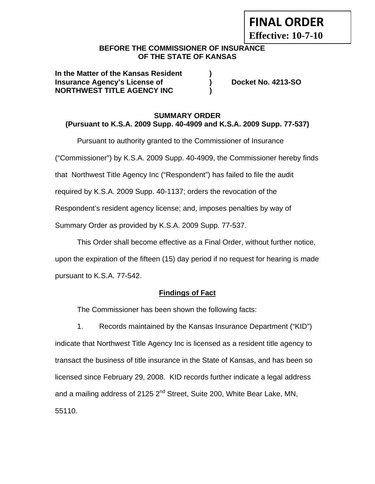# **FINAL ORDER**

**Effective: 10-7-10** 

#### **BEFORE THE COMMISSIONER OF INSURANCE OF THE STATE OF KANSAS**

**In the Matter of the Kansas Resident ) Insurance Agency's License of (a) Booket No. 4213-SO NORTHWEST TITLE AGENCY INC )** 

#### **SUMMARY ORDER (Pursuant to K.S.A. 2009 Supp. 40-4909 and K.S.A. 2009 Supp. 77-537)**

Pursuant to authority granted to the Commissioner of Insurance

("Commissioner") by K.S.A. 2009 Supp. 40-4909, the Commissioner hereby finds

that Northwest Title Agency Inc ("Respondent") has failed to file the audit

required by K.S.A. 2009 Supp. 40-1137; orders the revocation of the

Respondent's resident agency license; and, imposes penalties by way of

Summary Order as provided by K.S.A. 2009 Supp. 77-537.

This Order shall become effective as a Final Order, without further notice,

upon the expiration of the fifteen (15) day period if no request for hearing is made pursuant to K.S.A. 77-542.

## **Findings of Fact**

The Commissioner has been shown the following facts:

1. Records maintained by the Kansas Insurance Department ("KID") indicate that Northwest Title Agency Inc is licensed as a resident title agency to transact the business of title insurance in the State of Kansas, and has been so licensed since February 29, 2008. KID records further indicate a legal address and a mailing address of 2125 2<sup>nd</sup> Street, Suite 200, White Bear Lake, MN, 55110.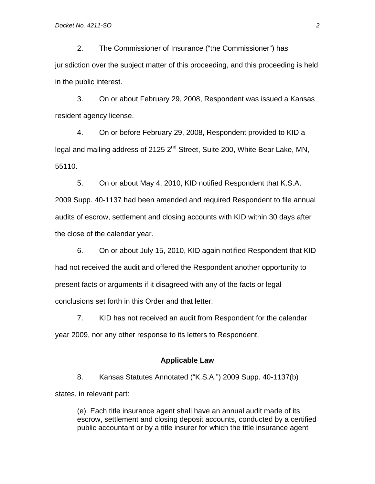2. The Commissioner of Insurance ("the Commissioner") has jurisdiction over the subject matter of this proceeding, and this proceeding is held in the public interest.

3. On or about February 29, 2008, Respondent was issued a Kansas resident agency license.

4. On or before February 29, 2008, Respondent provided to KID a legal and mailing address of 2125 2<sup>nd</sup> Street, Suite 200, White Bear Lake, MN, 55110.

5. On or about May 4, 2010, KID notified Respondent that K.S.A. 2009 Supp. 40-1137 had been amended and required Respondent to file annual audits of escrow, settlement and closing accounts with KID within 30 days after the close of the calendar year.

6. On or about July 15, 2010, KID again notified Respondent that KID had not received the audit and offered the Respondent another opportunity to present facts or arguments if it disagreed with any of the facts or legal conclusions set forth in this Order and that letter.

7. KID has not received an audit from Respondent for the calendar year 2009, nor any other response to its letters to Respondent.

#### **Applicable Law**

8. Kansas Statutes Annotated ("K.S.A.") 2009 Supp. 40-1137(b) states, in relevant part:

(e) Each title insurance agent shall have an annual audit made of its escrow, settlement and closing deposit accounts, conducted by a certified public accountant or by a title insurer for which the title insurance agent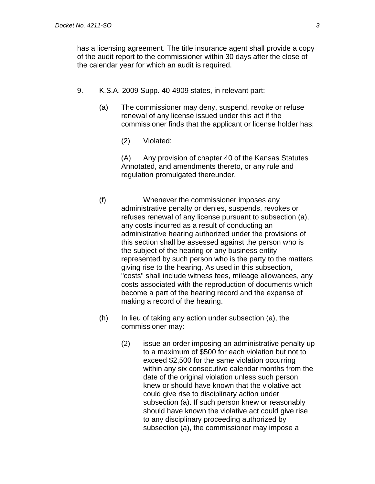has a licensing agreement. The title insurance agent shall provide a copy of the audit report to the commissioner within 30 days after the close of the calendar year for which an audit is required.

- 9. K.S.A. 2009 Supp. 40-4909 states, in relevant part:
	- (a) The commissioner may deny, suspend, revoke or refuse renewal of any license issued under this act if the commissioner finds that the applicant or license holder has:
		- (2) Violated:

 (A) Any provision of chapter 40 of the Kansas Statutes Annotated, and amendments thereto, or any rule and regulation promulgated thereunder.

- (f) Whenever the commissioner imposes any administrative penalty or denies, suspends, revokes or refuses renewal of any license pursuant to subsection (a), any costs incurred as a result of conducting an administrative hearing authorized under the provisions of this section shall be assessed against the person who is the subject of the hearing or any business entity represented by such person who is the party to the matters giving rise to the hearing. As used in this subsection, "costs" shall include witness fees, mileage allowances, any costs associated with the reproduction of documents which become a part of the hearing record and the expense of making a record of the hearing.
- (h) In lieu of taking any action under subsection (a), the commissioner may:
	- (2) issue an order imposing an administrative penalty up to a maximum of \$500 for each violation but not to exceed \$2,500 for the same violation occurring within any six consecutive calendar months from the date of the original violation unless such person knew or should have known that the violative act could give rise to disciplinary action under subsection (a). If such person knew or reasonably should have known the violative act could give rise to any disciplinary proceeding authorized by subsection (a), the commissioner may impose a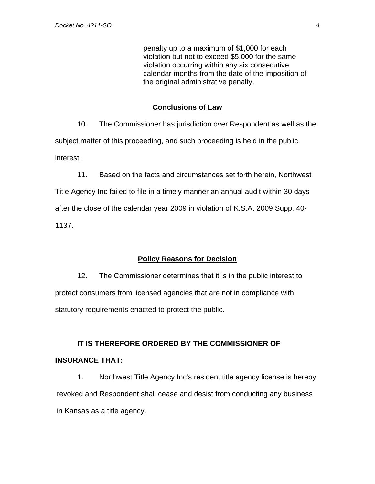penalty up to a maximum of \$1,000 for each violation but not to exceed \$5,000 for the same violation occurring within any six consecutive calendar months from the date of the imposition of the original administrative penalty.

#### **Conclusions of Law**

10. The Commissioner has jurisdiction over Respondent as well as the subject matter of this proceeding, and such proceeding is held in the public interest.

11. Based on the facts and circumstances set forth herein, Northwest Title Agency Inc failed to file in a timely manner an annual audit within 30 days after the close of the calendar year 2009 in violation of K.S.A. 2009 Supp. 40- 1137.

#### **Policy Reasons for Decision**

12. The Commissioner determines that it is in the public interest to protect consumers from licensed agencies that are not in compliance with statutory requirements enacted to protect the public.

# **IT IS THEREFORE ORDERED BY THE COMMISSIONER OF INSURANCE THAT:**

1. Northwest Title Agency Inc's resident title agency license is hereby revoked and Respondent shall cease and desist from conducting any business in Kansas as a title agency.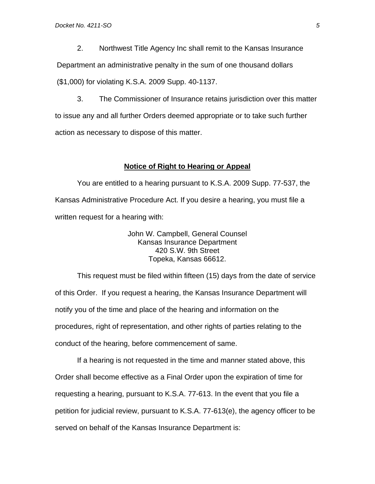2. Northwest Title Agency Inc shall remit to the Kansas Insurance Department an administrative penalty in the sum of one thousand dollars (\$1,000) for violating K.S.A. 2009 Supp. 40-1137.

3. The Commissioner of Insurance retains jurisdiction over this matter to issue any and all further Orders deemed appropriate or to take such further action as necessary to dispose of this matter.

#### **Notice of Right to Hearing or Appeal**

You are entitled to a hearing pursuant to K.S.A. 2009 Supp. 77-537, the Kansas Administrative Procedure Act. If you desire a hearing, you must file a written request for a hearing with:

> John W. Campbell, General Counsel Kansas Insurance Department 420 S.W. 9th Street Topeka, Kansas 66612.

This request must be filed within fifteen (15) days from the date of service of this Order. If you request a hearing, the Kansas Insurance Department will notify you of the time and place of the hearing and information on the procedures, right of representation, and other rights of parties relating to the conduct of the hearing, before commencement of same.

If a hearing is not requested in the time and manner stated above, this Order shall become effective as a Final Order upon the expiration of time for requesting a hearing, pursuant to K.S.A. 77-613. In the event that you file a petition for judicial review, pursuant to K.S.A. 77-613(e), the agency officer to be served on behalf of the Kansas Insurance Department is: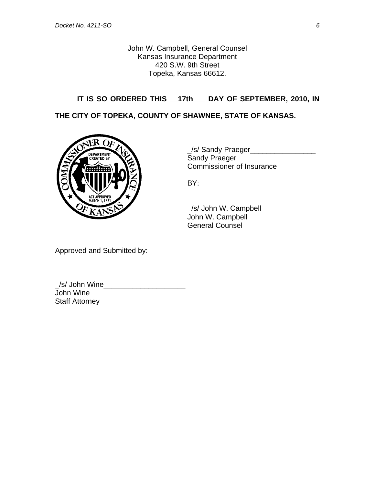John W. Campbell, General Counsel Kansas Insurance Department 420 S.W. 9th Street Topeka, Kansas 66612.

## **IT IS SO ORDERED THIS \_\_17th\_\_\_ DAY OF SEPTEMBER, 2010, IN**

**THE CITY OF TOPEKA, COUNTY OF SHAWNEE, STATE OF KANSAS.** 



\_/s/ Sandy Praeger\_\_\_\_\_\_\_\_\_\_\_\_\_\_\_\_ Commissioner of Insurance

 \_/s/ John W. Campbell\_\_\_\_\_\_\_\_\_\_\_\_\_ John W. Campbell General Counsel

Approved and Submitted by:

\_/s/ John Wine\_\_\_\_\_\_\_\_\_\_\_\_\_\_\_\_\_\_\_\_ John Wine Staff Attorney